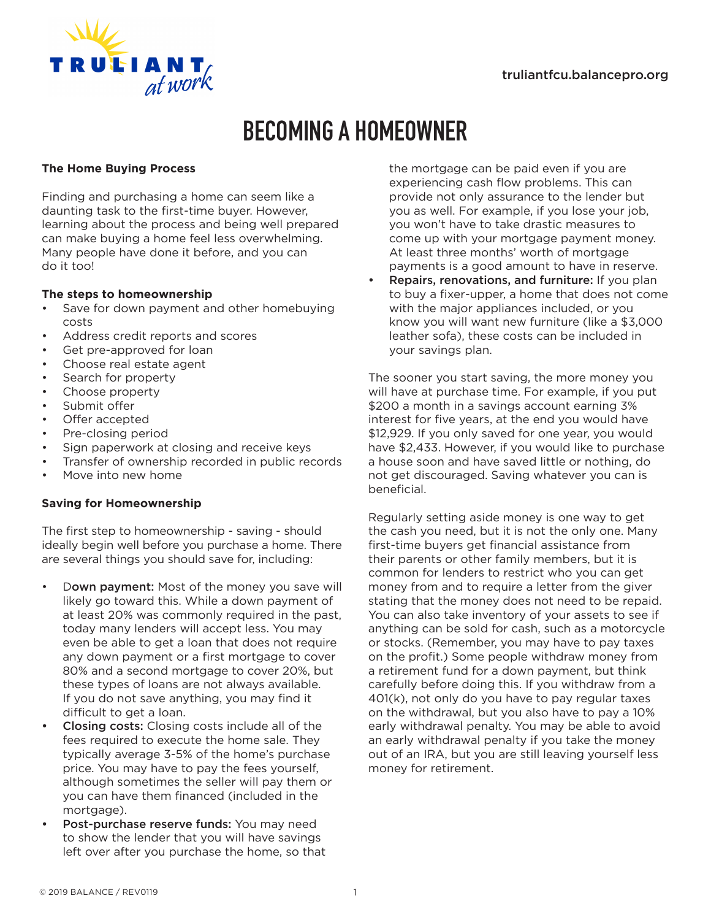

# **BECOMING A HOMEOWNER**

## **The Home Buying Process**

Finding and purchasing a home can seem like a daunting task to the first-time buyer. However, learning about the process and being well prepared can make buying a home feel less overwhelming. Many people have done it before, and you can do it too!

## **The steps to homeownership**

- Save for down payment and other homebuying costs
- Address credit reports and scores
- Get pre-approved for loan
- Choose real estate agent
- Search for property
- Choose property
- Submit offer
- Offer accepted
- Pre-closing period
- Sign paperwork at closing and receive keys
- Transfer of ownership recorded in public records
- Move into new home

## **Saving for Homeownership**

The first step to homeownership - saving - should ideally begin well before you purchase a home. There are several things you should save for, including:

- Down payment: Most of the money you save will likely go toward this. While a down payment of at least 20% was commonly required in the past, today many lenders will accept less. You may even be able to get a loan that does not require any down payment or a first mortgage to cover 80% and a second mortgage to cover 20%, but these types of loans are not always available. If you do not save anything, you may find it difficult to get a loan.
- Closing costs: Closing costs include all of the fees required to execute the home sale. They typically average 3-5% of the home's purchase price. You may have to pay the fees yourself, although sometimes the seller will pay them or you can have them financed (included in the mortgage).
- Post-purchase reserve funds: You may need to show the lender that you will have savings left over after you purchase the home, so that

the mortgage can be paid even if you are experiencing cash flow problems. This can provide not only assurance to the lender but you as well. For example, if you lose your job, you won't have to take drastic measures to come up with your mortgage payment money. At least three months' worth of mortgage payments is a good amount to have in reserve.

Repairs, renovations, and furniture: If you plan to buy a fixer-upper, a home that does not come with the major appliances included, or you know you will want new furniture (like a \$3,000 leather sofa), these costs can be included in your savings plan.

The sooner you start saving, the more money you will have at purchase time. For example, if you put \$200 a month in a savings account earning 3% interest for five years, at the end you would have \$12,929. If you only saved for one year, you would have \$2,433. However, if you would like to purchase a house soon and have saved little or nothing, do not get discouraged. Saving whatever you can is beneficial.

Regularly setting aside money is one way to get the cash you need, but it is not the only one. Many first-time buyers get financial assistance from their parents or other family members, but it is common for lenders to restrict who you can get money from and to require a letter from the giver stating that the money does not need to be repaid. You can also take inventory of your assets to see if anything can be sold for cash, such as a motorcycle or stocks. (Remember, you may have to pay taxes on the profit.) Some people withdraw money from a retirement fund for a down payment, but think carefully before doing this. If you withdraw from a 401(k), not only do you have to pay regular taxes on the withdrawal, but you also have to pay a 10% early withdrawal penalty. You may be able to avoid an early withdrawal penalty if you take the money out of an IRA, but you are still leaving yourself less money for retirement.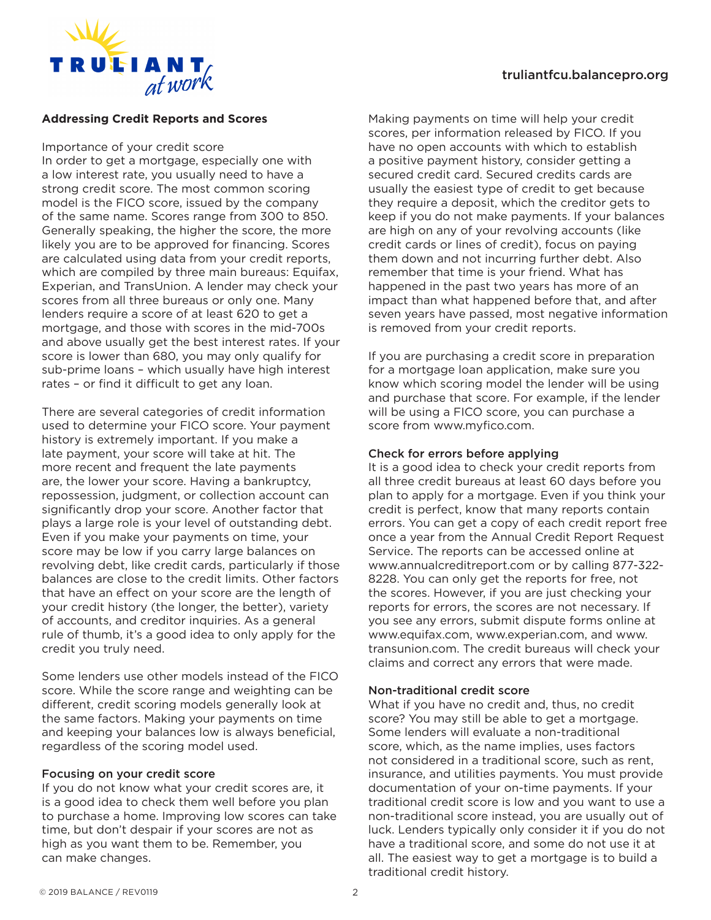

#### **Addressing Credit Reports and Scores**

#### Importance of your credit score

In order to get a mortgage, especially one with a low interest rate, you usually need to have a strong credit score. The most common scoring model is the FICO score, issued by the company of the same name. Scores range from 300 to 850. Generally speaking, the higher the score, the more likely you are to be approved for financing. Scores are calculated using data from your credit reports, which are compiled by three main bureaus: Equifax, Experian, and TransUnion. A lender may check your scores from all three bureaus or only one. Many lenders require a score of at least 620 to get a mortgage, and those with scores in the mid-700s and above usually get the best interest rates. If your score is lower than 680, you may only qualify for sub-prime loans – which usually have high interest rates – or find it difficult to get any loan.

There are several categories of credit information used to determine your FICO score. Your payment history is extremely important. If you make a late payment, your score will take at hit. The more recent and frequent the late payments are, the lower your score. Having a bankruptcy, repossession, judgment, or collection account can significantly drop your score. Another factor that plays a large role is your level of outstanding debt. Even if you make your payments on time, your score may be low if you carry large balances on revolving debt, like credit cards, particularly if those balances are close to the credit limits. Other factors that have an effect on your score are the length of your credit history (the longer, the better), variety of accounts, and creditor inquiries. As a general rule of thumb, it's a good idea to only apply for the credit you truly need.

Some lenders use other models instead of the FICO score. While the score range and weighting can be different, credit scoring models generally look at the same factors. Making your payments on time and keeping your balances low is always beneficial, regardless of the scoring model used.

#### Focusing on your credit score

If you do not know what your credit scores are, it is a good idea to check them well before you plan to purchase a home. Improving low scores can take time, but don't despair if your scores are not as high as you want them to be. Remember, you can make changes.

Making payments on time will help your credit scores, per information released by FICO. If you have no open accounts with which to establish a positive payment history, consider getting a secured credit card. Secured credits cards are usually the easiest type of credit to get because they require a deposit, which the creditor gets to keep if you do not make payments. If your balances are high on any of your revolving accounts (like credit cards or lines of credit), focus on paying them down and not incurring further debt. Also remember that time is your friend. What has happened in the past two years has more of an impact than what happened before that, and after seven years have passed, most negative information is removed from your credit reports.

If you are purchasing a credit score in preparation for a mortgage loan application, make sure you know which scoring model the lender will be using and purchase that score. For example, if the lender will be using a FICO score, you can purchase a score from www.myfico.com.

#### Check for errors before applying

It is a good idea to check your credit reports from all three credit bureaus at least 60 days before you plan to apply for a mortgage. Even if you think your credit is perfect, know that many reports contain errors. You can get a copy of each credit report free once a year from the Annual Credit Report Request Service. The reports can be accessed online at www.annualcreditreport.com or by calling 877-322- 8228. You can only get the reports for free, not the scores. However, if you are just checking your reports for errors, the scores are not necessary. If you see any errors, submit dispute forms online at www.equifax.com, www.experian.com, and www. transunion.com. The credit bureaus will check your claims and correct any errors that were made.

#### Non-traditional credit score

What if you have no credit and, thus, no credit score? You may still be able to get a mortgage. Some lenders will evaluate a non-traditional score, which, as the name implies, uses factors not considered in a traditional score, such as rent, insurance, and utilities payments. You must provide documentation of your on-time payments. If your traditional credit score is low and you want to use a non-traditional score instead, you are usually out of luck. Lenders typically only consider it if you do not have a traditional score, and some do not use it at all. The easiest way to get a mortgage is to build a traditional credit history.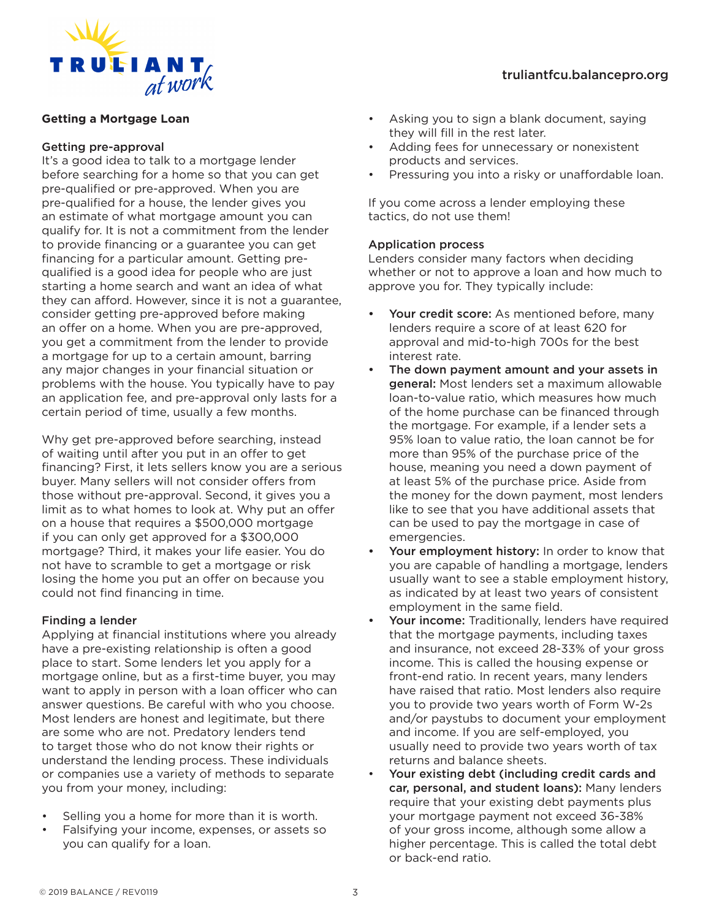

## **Getting a Mortgage Loan**

#### Getting pre-approval

It's a good idea to talk to a mortgage lender before searching for a home so that you can get pre-qualified or pre-approved. When you are pre-qualified for a house, the lender gives you an estimate of what mortgage amount you can qualify for. It is not a commitment from the lender to provide financing or a guarantee you can get financing for a particular amount. Getting prequalified is a good idea for people who are just starting a home search and want an idea of what they can afford. However, since it is not a guarantee, consider getting pre-approved before making an offer on a home. When you are pre-approved, you get a commitment from the lender to provide a mortgage for up to a certain amount, barring any major changes in your financial situation or problems with the house. You typically have to pay an application fee, and pre-approval only lasts for a certain period of time, usually a few months.

Why get pre-approved before searching, instead of waiting until after you put in an offer to get financing? First, it lets sellers know you are a serious buyer. Many sellers will not consider offers from those without pre-approval. Second, it gives you a limit as to what homes to look at. Why put an offer on a house that requires a \$500,000 mortgage if you can only get approved for a \$300,000 mortgage? Third, it makes your life easier. You do not have to scramble to get a mortgage or risk losing the home you put an offer on because you could not find financing in time.

## Finding a lender

Applying at financial institutions where you already have a pre-existing relationship is often a good place to start. Some lenders let you apply for a mortgage online, but as a first-time buyer, you may want to apply in person with a loan officer who can answer questions. Be careful with who you choose. Most lenders are honest and legitimate, but there are some who are not. Predatory lenders tend to target those who do not know their rights or understand the lending process. These individuals or companies use a variety of methods to separate you from your money, including:

- Selling you a home for more than it is worth.
- Falsifying your income, expenses, or assets so you can qualify for a loan.
- Asking you to sign a blank document, saying they will fill in the rest later.
- Adding fees for unnecessary or nonexistent products and services.
- Pressuring you into a risky or unaffordable loan.

If you come across a lender employing these tactics, do not use them!

#### Application process

Lenders consider many factors when deciding whether or not to approve a loan and how much to approve you for. They typically include:

- Your credit score: As mentioned before, many lenders require a score of at least 620 for approval and mid-to-high 700s for the best interest rate.
- The down payment amount and your assets in general: Most lenders set a maximum allowable loan-to-value ratio, which measures how much of the home purchase can be financed through the mortgage. For example, if a lender sets a 95% loan to value ratio, the loan cannot be for more than 95% of the purchase price of the house, meaning you need a down payment of at least 5% of the purchase price. Aside from the money for the down payment, most lenders like to see that you have additional assets that can be used to pay the mortgage in case of emergencies.
- Your employment history: In order to know that you are capable of handling a mortgage, lenders usually want to see a stable employment history, as indicated by at least two years of consistent employment in the same field.
- Your income: Traditionally, lenders have required that the mortgage payments, including taxes and insurance, not exceed 28-33% of your gross income. This is called the housing expense or front-end ratio. In recent years, many lenders have raised that ratio. Most lenders also require you to provide two years worth of Form W-2s and/or paystubs to document your employment and income. If you are self-employed, you usually need to provide two years worth of tax returns and balance sheets.
- Your existing debt (including credit cards and car, personal, and student loans): Many lenders require that your existing debt payments plus your mortgage payment not exceed 36-38% of your gross income, although some allow a higher percentage. This is called the total debt or back-end ratio.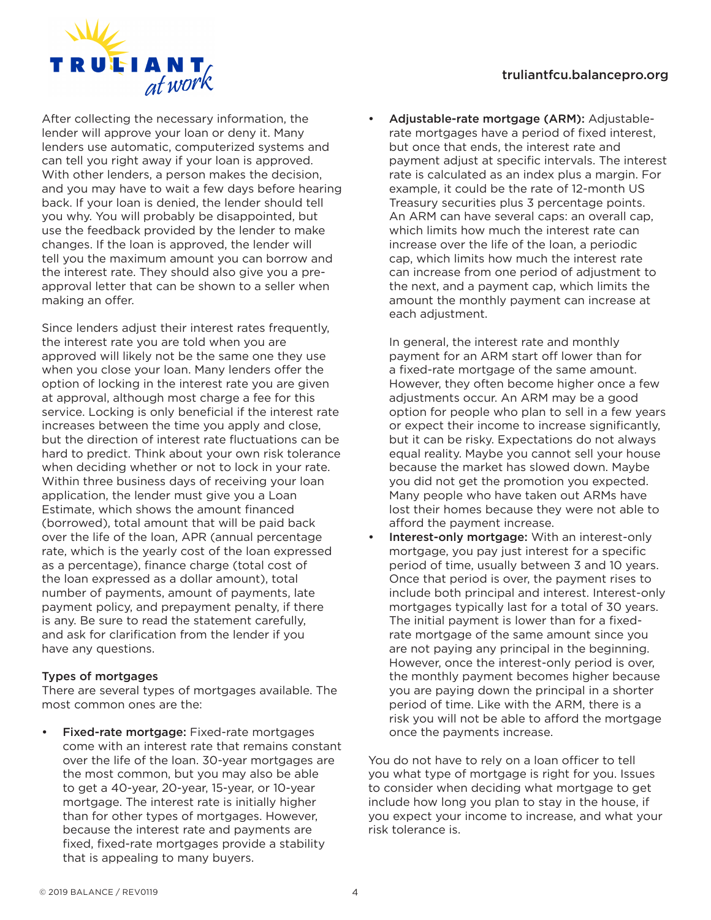

After collecting the necessary information, the lender will approve your loan or deny it. Many lenders use automatic, computerized systems and can tell you right away if your loan is approved. With other lenders, a person makes the decision. and you may have to wait a few days before hearing back. If your loan is denied, the lender should tell you why. You will probably be disappointed, but use the feedback provided by the lender to make changes. If the loan is approved, the lender will tell you the maximum amount you can borrow and the interest rate. They should also give you a preapproval letter that can be shown to a seller when making an offer.

Since lenders adjust their interest rates frequently, the interest rate you are told when you are approved will likely not be the same one they use when you close your loan. Many lenders offer the option of locking in the interest rate you are given at approval, although most charge a fee for this service. Locking is only beneficial if the interest rate increases between the time you apply and close, but the direction of interest rate fluctuations can be hard to predict. Think about your own risk tolerance when deciding whether or not to lock in your rate. Within three business days of receiving your loan application, the lender must give you a Loan Estimate, which shows the amount financed (borrowed), total amount that will be paid back over the life of the loan, APR (annual percentage rate, which is the yearly cost of the loan expressed as a percentage), finance charge (total cost of the loan expressed as a dollar amount), total number of payments, amount of payments, late payment policy, and prepayment penalty, if there is any. Be sure to read the statement carefully, and ask for clarification from the lender if you have any questions.

## Types of mortgages

There are several types of mortgages available. The most common ones are the:

• Fixed-rate mortgage: Fixed-rate mortgages come with an interest rate that remains constant over the life of the loan. 30-year mortgages are the most common, but you may also be able to get a 40-year, 20-year, 15-year, or 10-year mortgage. The interest rate is initially higher than for other types of mortgages. However, because the interest rate and payments are fixed, fixed-rate mortgages provide a stability that is appealing to many buyers.

• Adjustable-rate mortgage (ARM): Adjustablerate mortgages have a period of fixed interest, but once that ends, the interest rate and payment adjust at specific intervals. The interest rate is calculated as an index plus a margin. For example, it could be the rate of 12-month US Treasury securities plus 3 percentage points. An ARM can have several caps: an overall cap, which limits how much the interest rate can increase over the life of the loan, a periodic cap, which limits how much the interest rate can increase from one period of adjustment to the next, and a payment cap, which limits the amount the monthly payment can increase at each adjustment.

In general, the interest rate and monthly payment for an ARM start off lower than for a fixed-rate mortgage of the same amount. However, they often become higher once a few adjustments occur. An ARM may be a good option for people who plan to sell in a few years or expect their income to increase significantly, but it can be risky. Expectations do not always equal reality. Maybe you cannot sell your house because the market has slowed down. Maybe you did not get the promotion you expected. Many people who have taken out ARMs have lost their homes because they were not able to afford the payment increase.

Interest-only mortgage: With an interest-only mortgage, you pay just interest for a specific period of time, usually between 3 and 10 years. Once that period is over, the payment rises to include both principal and interest. Interest-only mortgages typically last for a total of 30 years. The initial payment is lower than for a fixedrate mortgage of the same amount since you are not paying any principal in the beginning. However, once the interest-only period is over, the monthly payment becomes higher because you are paying down the principal in a shorter period of time. Like with the ARM, there is a risk you will not be able to afford the mortgage once the payments increase.

You do not have to rely on a loan officer to tell you what type of mortgage is right for you. Issues to consider when deciding what mortgage to get include how long you plan to stay in the house, if you expect your income to increase, and what your risk tolerance is.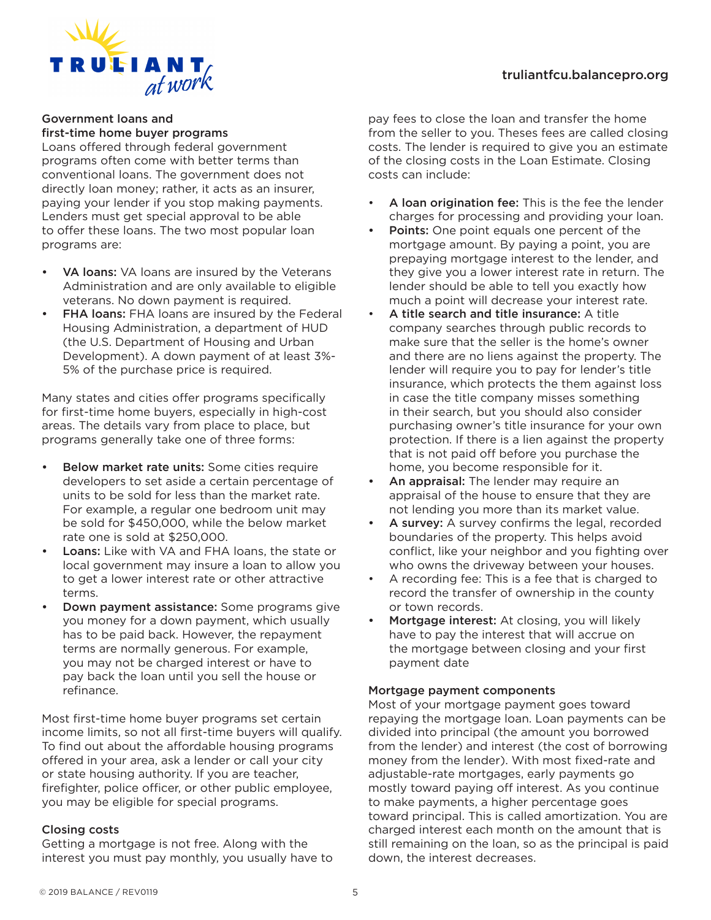

#### Government loans and first-time home buyer programs

Loans offered through federal government programs often come with better terms than conventional loans. The government does not directly loan money; rather, it acts as an insurer, paying your lender if you stop making payments. Lenders must get special approval to be able to offer these loans. The two most popular loan programs are:

- VA loans: VA loans are insured by the Veterans Administration and are only available to eligible veterans. No down payment is required.
- FHA loans: FHA loans are insured by the Federal Housing Administration, a department of HUD (the U.S. Department of Housing and Urban Development). A down payment of at least 3%- 5% of the purchase price is required.

Many states and cities offer programs specifically for first-time home buyers, especially in high-cost areas. The details vary from place to place, but programs generally take one of three forms:

- Below market rate units: Some cities require developers to set aside a certain percentage of units to be sold for less than the market rate. For example, a regular one bedroom unit may be sold for \$450,000, while the below market rate one is sold at \$250,000.
- Loans: Like with VA and FHA loans, the state or local government may insure a loan to allow you to get a lower interest rate or other attractive terms.
- Down payment assistance: Some programs give you money for a down payment, which usually has to be paid back. However, the repayment terms are normally generous. For example, you may not be charged interest or have to pay back the loan until you sell the house or refinance.

Most first-time home buyer programs set certain income limits, so not all first-time buyers will qualify. To find out about the affordable housing programs offered in your area, ask a lender or call your city or state housing authority. If you are teacher, firefighter, police officer, or other public employee, you may be eligible for special programs.

## Closing costs

Getting a mortgage is not free. Along with the interest you must pay monthly, you usually have to

pay fees to close the loan and transfer the home from the seller to you. Theses fees are called closing costs. The lender is required to give you an estimate of the closing costs in the Loan Estimate. Closing costs can include:

- A loan origination fee: This is the fee the lender charges for processing and providing your loan.
- Points: One point equals one percent of the mortgage amount. By paying a point, you are prepaying mortgage interest to the lender, and they give you a lower interest rate in return. The lender should be able to tell you exactly how much a point will decrease your interest rate.
- A title search and title insurance: A title company searches through public records to make sure that the seller is the home's owner and there are no liens against the property. The lender will require you to pay for lender's title insurance, which protects the them against loss in case the title company misses something in their search, but you should also consider purchasing owner's title insurance for your own protection. If there is a lien against the property that is not paid off before you purchase the home, you become responsible for it.
- An appraisal: The lender may require an appraisal of the house to ensure that they are not lending you more than its market value.
- A survey: A survey confirms the legal, recorded boundaries of the property. This helps avoid conflict, like your neighbor and you fighting over who owns the driveway between your houses.
- A recording fee: This is a fee that is charged to record the transfer of ownership in the county or town records.
- Mortgage interest: At closing, you will likely have to pay the interest that will accrue on the mortgage between closing and your first payment date

## Mortgage payment components

Most of your mortgage payment goes toward repaying the mortgage loan. Loan payments can be divided into principal (the amount you borrowed from the lender) and interest (the cost of borrowing money from the lender). With most fixed-rate and adjustable-rate mortgages, early payments go mostly toward paying off interest. As you continue to make payments, a higher percentage goes toward principal. This is called amortization. You are charged interest each month on the amount that is still remaining on the loan, so as the principal is paid down, the interest decreases.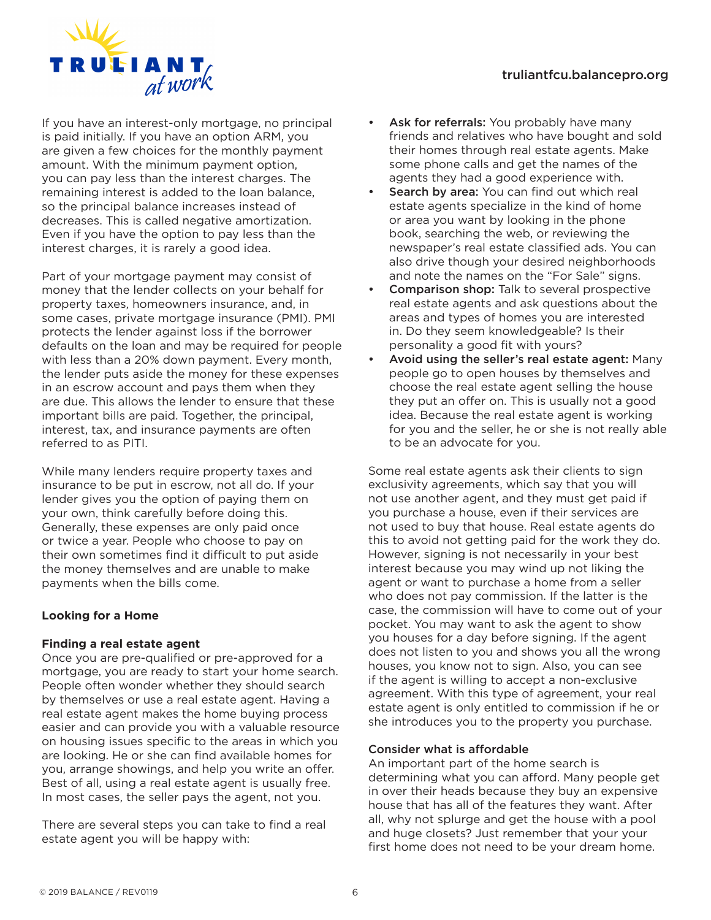

If you have an interest-only mortgage, no principal is paid initially. If you have an option ARM, you are given a few choices for the monthly payment amount. With the minimum payment option, you can pay less than the interest charges. The remaining interest is added to the loan balance, so the principal balance increases instead of decreases. This is called negative amortization. Even if you have the option to pay less than the interest charges, it is rarely a good idea.

Part of your mortgage payment may consist of money that the lender collects on your behalf for property taxes, homeowners insurance, and, in some cases, private mortgage insurance (PMI). PMI protects the lender against loss if the borrower defaults on the loan and may be required for people with less than a 20% down payment. Every month, the lender puts aside the money for these expenses in an escrow account and pays them when they are due. This allows the lender to ensure that these important bills are paid. Together, the principal, interest, tax, and insurance payments are often referred to as PITI.

While many lenders require property taxes and insurance to be put in escrow, not all do. If your lender gives you the option of paying them on your own, think carefully before doing this. Generally, these expenses are only paid once or twice a year. People who choose to pay on their own sometimes find it difficult to put aside the money themselves and are unable to make payments when the bills come.

## **Looking for a Home**

## **Finding a real estate agent**

Once you are pre-qualified or pre-approved for a mortgage, you are ready to start your home search. People often wonder whether they should search by themselves or use a real estate agent. Having a real estate agent makes the home buying process easier and can provide you with a valuable resource on housing issues specific to the areas in which you are looking. He or she can find available homes for you, arrange showings, and help you write an offer. Best of all, using a real estate agent is usually free. In most cases, the seller pays the agent, not you.

There are several steps you can take to find a real estate agent you will be happy with:

- Ask for referrals: You probably have many friends and relatives who have bought and sold their homes through real estate agents. Make some phone calls and get the names of the agents they had a good experience with.
- Search by area: You can find out which real estate agents specialize in the kind of home or area you want by looking in the phone book, searching the web, or reviewing the newspaper's real estate classified ads. You can also drive though your desired neighborhoods and note the names on the "For Sale" signs.
- Comparison shop: Talk to several prospective real estate agents and ask questions about the areas and types of homes you are interested in. Do they seem knowledgeable? Is their personality a good fit with yours?
- Avoid using the seller's real estate agent: Many people go to open houses by themselves and choose the real estate agent selling the house they put an offer on. This is usually not a good idea. Because the real estate agent is working for you and the seller, he or she is not really able to be an advocate for you.

Some real estate agents ask their clients to sign exclusivity agreements, which say that you will not use another agent, and they must get paid if you purchase a house, even if their services are not used to buy that house. Real estate agents do this to avoid not getting paid for the work they do. However, signing is not necessarily in your best interest because you may wind up not liking the agent or want to purchase a home from a seller who does not pay commission. If the latter is the case, the commission will have to come out of your pocket. You may want to ask the agent to show you houses for a day before signing. If the agent does not listen to you and shows you all the wrong houses, you know not to sign. Also, you can see if the agent is willing to accept a non-exclusive agreement. With this type of agreement, your real estate agent is only entitled to commission if he or she introduces you to the property you purchase.

## Consider what is affordable

An important part of the home search is determining what you can afford. Many people get in over their heads because they buy an expensive house that has all of the features they want. After all, why not splurge and get the house with a pool and huge closets? Just remember that your your first home does not need to be your dream home.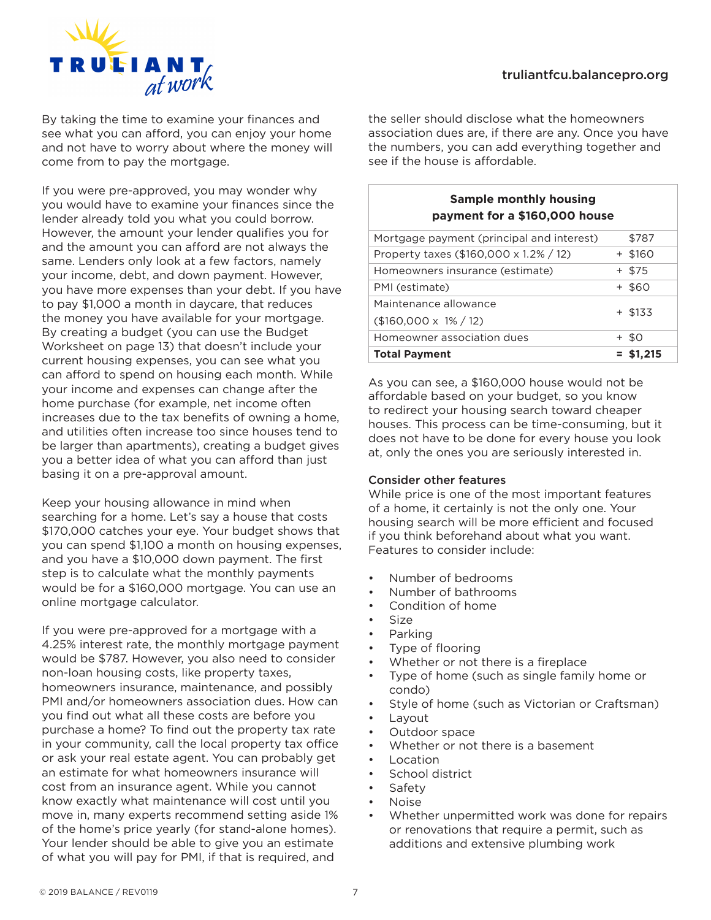

By taking the time to examine your finances and see what you can afford, you can enjoy your home and not have to worry about where the money will come from to pay the mortgage.

If you were pre-approved, you may wonder why you would have to examine your finances since the lender already told you what you could borrow. However, the amount your lender qualifies you for and the amount you can afford are not always the same. Lenders only look at a few factors, namely your income, debt, and down payment. However, you have more expenses than your debt. If you have to pay \$1,000 a month in daycare, that reduces the money you have available for your mortgage. By creating a budget (you can use the Budget Worksheet on page 13) that doesn't include your current housing expenses, you can see what you can afford to spend on housing each month. While your income and expenses can change after the home purchase (for example, net income often increases due to the tax benefits of owning a home, and utilities often increase too since houses tend to be larger than apartments), creating a budget gives you a better idea of what you can afford than just basing it on a pre-approval amount.

Keep your housing allowance in mind when searching for a home. Let's say a house that costs \$170,000 catches your eye. Your budget shows that you can spend \$1,100 a month on housing expenses, and you have a \$10,000 down payment. The first step is to calculate what the monthly payments would be for a \$160,000 mortgage. You can use an online mortgage calculator.

If you were pre-approved for a mortgage with a 4.25% interest rate, the monthly mortgage payment would be \$787. However, you also need to consider non-loan housing costs, like property taxes, homeowners insurance, maintenance, and possibly PMI and/or homeowners association dues. How can you find out what all these costs are before you purchase a home? To find out the property tax rate in your community, call the local property tax office or ask your real estate agent. You can probably get an estimate for what homeowners insurance will cost from an insurance agent. While you cannot know exactly what maintenance will cost until you move in, many experts recommend setting aside 1% of the home's price yearly (for stand-alone homes). Your lender should be able to give you an estimate of what you will pay for PMI, if that is required, and

the seller should disclose what the homeowners association dues are, if there are any. Once you have the numbers, you can add everything together and see if the house is affordable.

# **Sample monthly housing payment for a \$160,000 house**

| Mortgage payment (principal and interest) | \$787       |  |
|-------------------------------------------|-------------|--|
| Property taxes (\$160,000 x 1.2% / 12)    | $+$ \$160   |  |
| Homeowners insurance (estimate)           | $+$ \$75    |  |
| PMI (estimate)                            | $+$ \$60    |  |
| Maintenance allowance                     |             |  |
| $($160,000 \times 1\% / 12)$              | $+$ \$133   |  |
| Homeowner association dues                | + \$0       |  |
| <b>Total Payment</b>                      | $=$ \$1,215 |  |

As you can see, a \$160,000 house would not be affordable based on your budget, so you know to redirect your housing search toward cheaper houses. This process can be time-consuming, but it does not have to be done for every house you look at, only the ones you are seriously interested in.

## Consider other features

While price is one of the most important features of a home, it certainly is not the only one. Your housing search will be more efficient and focused if you think beforehand about what you want. Features to consider include:

- Number of bedrooms
- Number of bathrooms
- Condition of home
- **Size**
- Parking
- Type of flooring
- Whether or not there is a fireplace
- Type of home (such as single family home or condo)
- Style of home (such as Victorian or Craftsman)
- Layout
- Outdoor space
- Whether or not there is a basement
- **Location**
- School district
- **Safety**
- Noise
- Whether unpermitted work was done for repairs or renovations that require a permit, such as additions and extensive plumbing work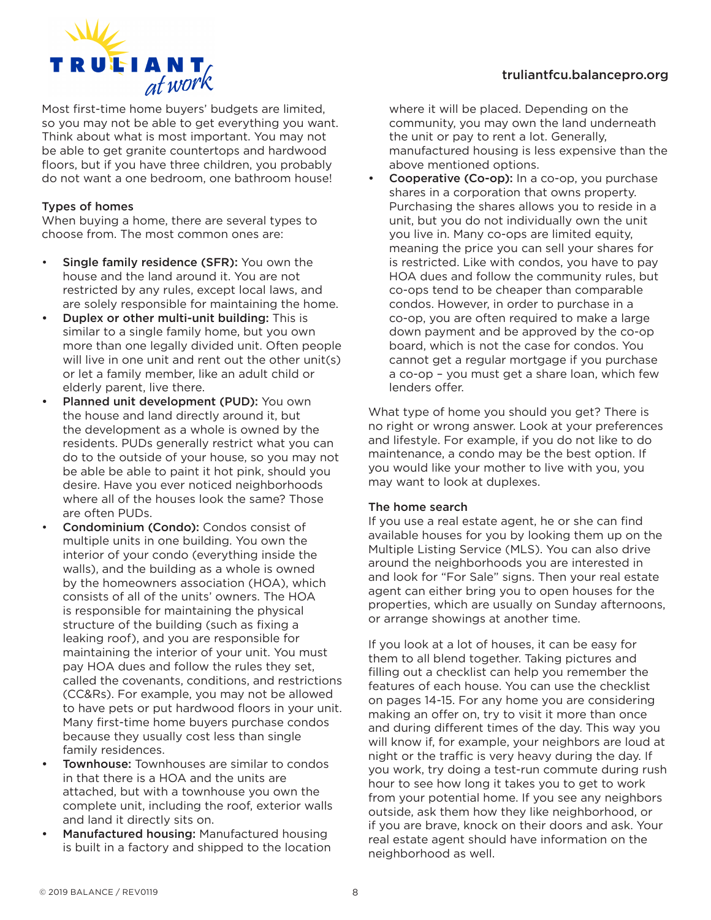

Most first-time home buyers' budgets are limited, so you may not be able to get everything you want. Think about what is most important. You may not be able to get granite countertops and hardwood floors, but if you have three children, you probably do not want a one bedroom, one bathroom house!

## Types of homes

When buying a home, there are several types to choose from. The most common ones are:

- Single family residence (SFR): You own the house and the land around it. You are not restricted by any rules, except local laws, and are solely responsible for maintaining the home.
- Duplex or other multi-unit building: This is similar to a single family home, but you own more than one legally divided unit. Often people will live in one unit and rent out the other unit(s) or let a family member, like an adult child or elderly parent, live there.
- Planned unit development (PUD): You own the house and land directly around it, but the development as a whole is owned by the residents. PUDs generally restrict what you can do to the outside of your house, so you may not be able be able to paint it hot pink, should you desire. Have you ever noticed neighborhoods where all of the houses look the same? Those are often PUDs.
- Condominium (Condo): Condos consist of multiple units in one building. You own the interior of your condo (everything inside the walls), and the building as a whole is owned by the homeowners association (HOA), which consists of all of the units' owners. The HOA is responsible for maintaining the physical structure of the building (such as fixing a leaking roof), and you are responsible for maintaining the interior of your unit. You must pay HOA dues and follow the rules they set, called the covenants, conditions, and restrictions (CC&Rs). For example, you may not be allowed to have pets or put hardwood floors in your unit. Many first-time home buyers purchase condos because they usually cost less than single family residences.
- **Townhouse:** Townhouses are similar to condos in that there is a HOA and the units are attached, but with a townhouse you own the complete unit, including the roof, exterior walls and land it directly sits on.
- Manufactured housing: Manufactured housing is built in a factory and shipped to the location

where it will be placed. Depending on the community, you may own the land underneath the unit or pay to rent a lot. Generally, manufactured housing is less expensive than the above mentioned options.

Cooperative (Co-op): In a co-op, you purchase shares in a corporation that owns property. Purchasing the shares allows you to reside in a unit, but you do not individually own the unit you live in. Many co-ops are limited equity, meaning the price you can sell your shares for is restricted. Like with condos, you have to pay HOA dues and follow the community rules, but co-ops tend to be cheaper than comparable condos. However, in order to purchase in a co-op, you are often required to make a large down payment and be approved by the co-op board, which is not the case for condos. You cannot get a regular mortgage if you purchase a co-op – you must get a share loan, which few lenders offer.

What type of home you should you get? There is no right or wrong answer. Look at your preferences and lifestyle. For example, if you do not like to do maintenance, a condo may be the best option. If you would like your mother to live with you, you may want to look at duplexes.

## The home search

If you use a real estate agent, he or she can find available houses for you by looking them up on the Multiple Listing Service (MLS). You can also drive around the neighborhoods you are interested in and look for "For Sale" signs. Then your real estate agent can either bring you to open houses for the properties, which are usually on Sunday afternoons, or arrange showings at another time.

If you look at a lot of houses, it can be easy for them to all blend together. Taking pictures and filling out a checklist can help you remember the features of each house. You can use the checklist on pages 14-15. For any home you are considering making an offer on, try to visit it more than once and during different times of the day. This way you will know if, for example, your neighbors are loud at night or the traffic is very heavy during the day. If you work, try doing a test-run commute during rush hour to see how long it takes you to get to work from your potential home. If you see any neighbors outside, ask them how they like neighborhood, or if you are brave, knock on their doors and ask. Your real estate agent should have information on the neighborhood as well.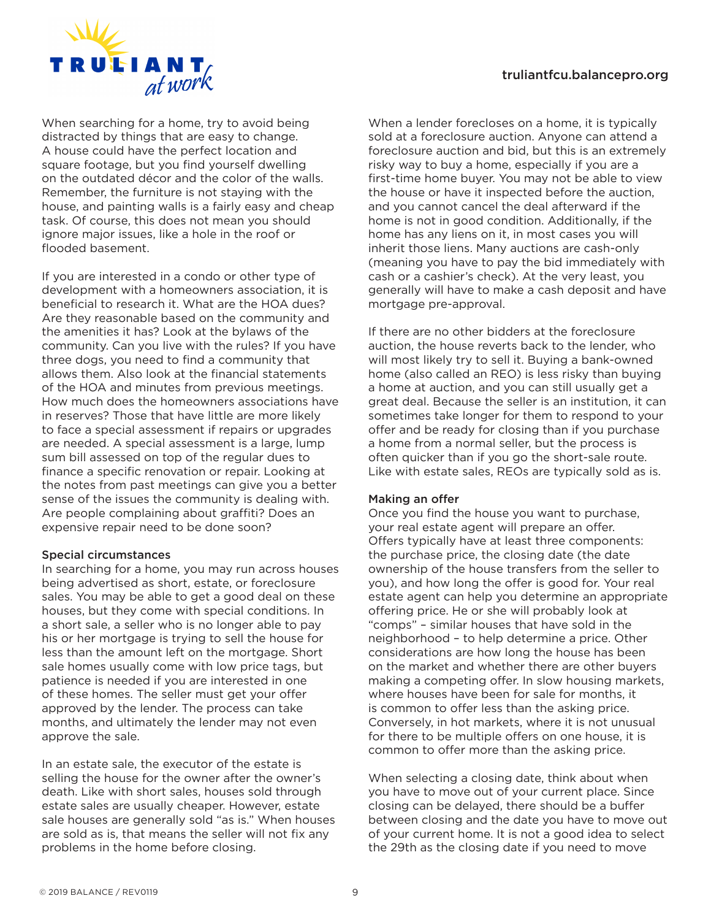

When searching for a home, try to avoid being distracted by things that are easy to change. A house could have the perfect location and square footage, but you find yourself dwelling on the outdated décor and the color of the walls. Remember, the furniture is not staying with the house, and painting walls is a fairly easy and cheap task. Of course, this does not mean you should ignore major issues, like a hole in the roof or flooded basement.

If you are interested in a condo or other type of development with a homeowners association, it is beneficial to research it. What are the HOA dues? Are they reasonable based on the community and the amenities it has? Look at the bylaws of the community. Can you live with the rules? If you have three dogs, you need to find a community that allows them. Also look at the financial statements of the HOA and minutes from previous meetings. How much does the homeowners associations have in reserves? Those that have little are more likely to face a special assessment if repairs or upgrades are needed. A special assessment is a large, lump sum bill assessed on top of the regular dues to finance a specific renovation or repair. Looking at the notes from past meetings can give you a better sense of the issues the community is dealing with. Are people complaining about graffiti? Does an expensive repair need to be done soon?

## Special circumstances

In searching for a home, you may run across houses being advertised as short, estate, or foreclosure sales. You may be able to get a good deal on these houses, but they come with special conditions. In a short sale, a seller who is no longer able to pay his or her mortgage is trying to sell the house for less than the amount left on the mortgage. Short sale homes usually come with low price tags, but patience is needed if you are interested in one of these homes. The seller must get your offer approved by the lender. The process can take months, and ultimately the lender may not even approve the sale.

In an estate sale, the executor of the estate is selling the house for the owner after the owner's death. Like with short sales, houses sold through estate sales are usually cheaper. However, estate sale houses are generally sold "as is." When houses are sold as is, that means the seller will not fix any problems in the home before closing.

When a lender forecloses on a home, it is typically sold at a foreclosure auction. Anyone can attend a foreclosure auction and bid, but this is an extremely risky way to buy a home, especially if you are a first-time home buyer. You may not be able to view the house or have it inspected before the auction, and you cannot cancel the deal afterward if the home is not in good condition. Additionally, if the home has any liens on it, in most cases you will inherit those liens. Many auctions are cash-only (meaning you have to pay the bid immediately with cash or a cashier's check). At the very least, you generally will have to make a cash deposit and have mortgage pre-approval.

If there are no other bidders at the foreclosure auction, the house reverts back to the lender, who will most likely try to sell it. Buying a bank-owned home (also called an REO) is less risky than buying a home at auction, and you can still usually get a great deal. Because the seller is an institution, it can sometimes take longer for them to respond to your offer and be ready for closing than if you purchase a home from a normal seller, but the process is often quicker than if you go the short-sale route. Like with estate sales, REOs are typically sold as is.

## Making an offer

Once you find the house you want to purchase, your real estate agent will prepare an offer. Offers typically have at least three components: the purchase price, the closing date (the date ownership of the house transfers from the seller to you), and how long the offer is good for. Your real estate agent can help you determine an appropriate offering price. He or she will probably look at "comps" – similar houses that have sold in the neighborhood – to help determine a price. Other considerations are how long the house has been on the market and whether there are other buyers making a competing offer. In slow housing markets, where houses have been for sale for months, it is common to offer less than the asking price. Conversely, in hot markets, where it is not unusual for there to be multiple offers on one house, it is common to offer more than the asking price.

When selecting a closing date, think about when you have to move out of your current place. Since closing can be delayed, there should be a buffer between closing and the date you have to move out of your current home. It is not a good idea to select the 29th as the closing date if you need to move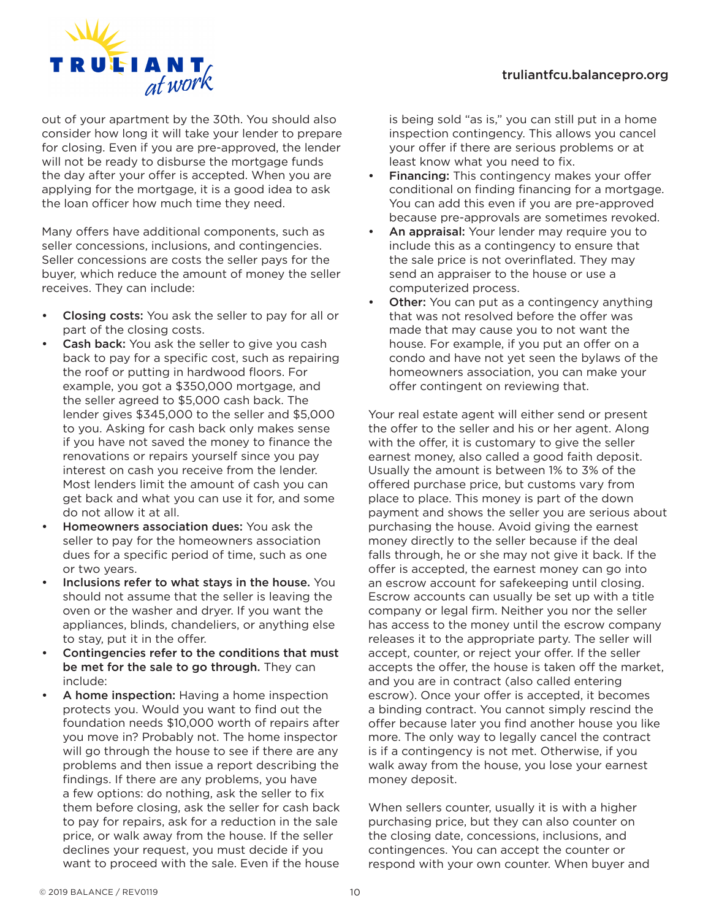

out of your apartment by the 30th. You should also consider how long it will take your lender to prepare for closing. Even if you are pre-approved, the lender will not be ready to disburse the mortgage funds the day after your offer is accepted. When you are applying for the mortgage, it is a good idea to ask the loan officer how much time they need.

Many offers have additional components, such as seller concessions, inclusions, and contingencies. Seller concessions are costs the seller pays for the buyer, which reduce the amount of money the seller receives. They can include:

- Closing costs: You ask the seller to pay for all or part of the closing costs.
- Cash back: You ask the seller to give you cash back to pay for a specific cost, such as repairing the roof or putting in hardwood floors. For example, you got a \$350,000 mortgage, and the seller agreed to \$5,000 cash back. The lender gives \$345,000 to the seller and \$5,000 to you. Asking for cash back only makes sense if you have not saved the money to finance the renovations or repairs yourself since you pay interest on cash you receive from the lender. Most lenders limit the amount of cash you can get back and what you can use it for, and some do not allow it at all.
- Homeowners association dues: You ask the seller to pay for the homeowners association dues for a specific period of time, such as one or two years.
- Inclusions refer to what stays in the house. You should not assume that the seller is leaving the oven or the washer and dryer. If you want the appliances, blinds, chandeliers, or anything else to stay, put it in the offer.
- Contingencies refer to the conditions that must be met for the sale to go through. They can include:
- A home inspection: Having a home inspection protects you. Would you want to find out the foundation needs \$10,000 worth of repairs after you move in? Probably not. The home inspector will go through the house to see if there are any problems and then issue a report describing the findings. If there are any problems, you have a few options: do nothing, ask the seller to fix them before closing, ask the seller for cash back to pay for repairs, ask for a reduction in the sale price, or walk away from the house. If the seller declines your request, you must decide if you want to proceed with the sale. Even if the house

is being sold "as is," you can still put in a home inspection contingency. This allows you cancel your offer if there are serious problems or at least know what you need to fix.

- **Financing:** This contingency makes your offer conditional on finding financing for a mortgage. You can add this even if you are pre-approved because pre-approvals are sometimes revoked.
- An appraisal: Your lender may require you to include this as a contingency to ensure that the sale price is not overinflated. They may send an appraiser to the house or use a computerized process.
- **Other:** You can put as a contingency anything that was not resolved before the offer was made that may cause you to not want the house. For example, if you put an offer on a condo and have not yet seen the bylaws of the homeowners association, you can make your offer contingent on reviewing that.

Your real estate agent will either send or present the offer to the seller and his or her agent. Along with the offer, it is customary to give the seller earnest money, also called a good faith deposit. Usually the amount is between 1% to 3% of the offered purchase price, but customs vary from place to place. This money is part of the down payment and shows the seller you are serious about purchasing the house. Avoid giving the earnest money directly to the seller because if the deal falls through, he or she may not give it back. If the offer is accepted, the earnest money can go into an escrow account for safekeeping until closing. Escrow accounts can usually be set up with a title company or legal firm. Neither you nor the seller has access to the money until the escrow company releases it to the appropriate party. The seller will accept, counter, or reject your offer. If the seller accepts the offer, the house is taken off the market, and you are in contract (also called entering escrow). Once your offer is accepted, it becomes a binding contract. You cannot simply rescind the offer because later you find another house you like more. The only way to legally cancel the contract is if a contingency is not met. Otherwise, if you walk away from the house, you lose your earnest money deposit.

When sellers counter, usually it is with a higher purchasing price, but they can also counter on the closing date, concessions, inclusions, and contingences. You can accept the counter or respond with your own counter. When buyer and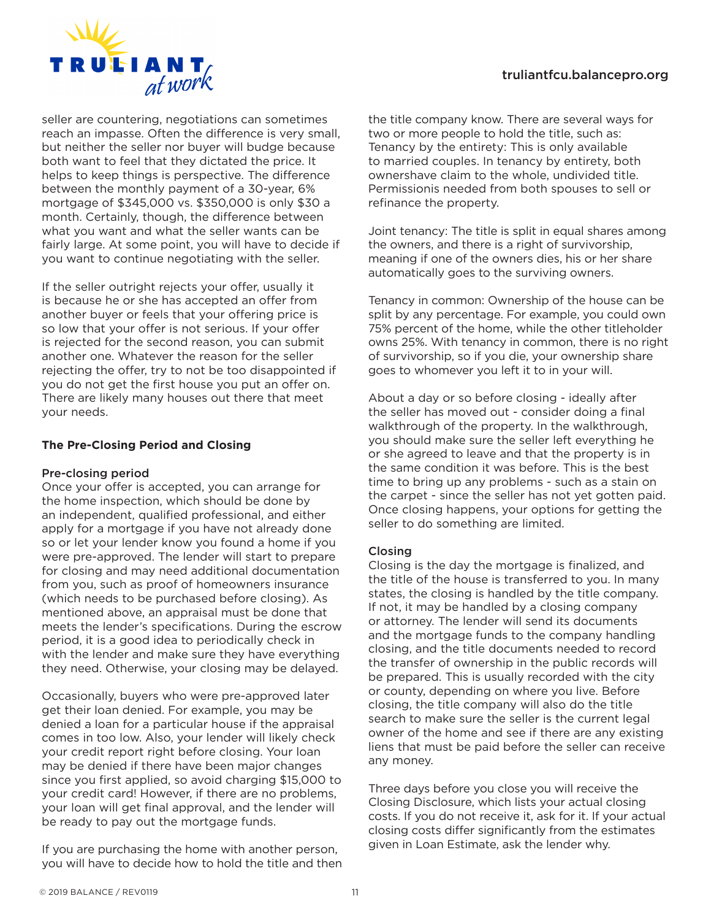

seller are countering, negotiations can sometimes reach an impasse. Often the difference is very small, but neither the seller nor buyer will budge because both want to feel that they dictated the price. It helps to keep things is perspective. The difference between the monthly payment of a 30-year, 6% mortgage of \$345,000 vs. \$350,000 is only \$30 a month. Certainly, though, the difference between what you want and what the seller wants can be fairly large. At some point, you will have to decide if you want to continue negotiating with the seller.

If the seller outright rejects your offer, usually it is because he or she has accepted an offer from another buyer or feels that your offering price is so low that your offer is not serious. If your offer is rejected for the second reason, you can submit another one. Whatever the reason for the seller rejecting the offer, try to not be too disappointed if you do not get the first house you put an offer on. There are likely many houses out there that meet your needs.

## **The Pre-Closing Period and Closing**

## Pre-closing period

Once your offer is accepted, you can arrange for the home inspection, which should be done by an independent, qualified professional, and either apply for a mortgage if you have not already done so or let your lender know you found a home if you were pre-approved. The lender will start to prepare for closing and may need additional documentation from you, such as proof of homeowners insurance (which needs to be purchased before closing). As mentioned above, an appraisal must be done that meets the lender's specifications. During the escrow period, it is a good idea to periodically check in with the lender and make sure they have everything they need. Otherwise, your closing may be delayed.

Occasionally, buyers who were pre-approved later get their loan denied. For example, you may be denied a loan for a particular house if the appraisal comes in too low. Also, your lender will likely check your credit report right before closing. Your loan may be denied if there have been major changes since you first applied, so avoid charging \$15,000 to your credit card! However, if there are no problems, your loan will get final approval, and the lender will be ready to pay out the mortgage funds.

If you are purchasing the home with another person, you will have to decide how to hold the title and then the title company know. There are several ways for two or more people to hold the title, such as: Tenancy by the entirety: This is only available to married couples. In tenancy by entirety, both ownershave claim to the whole, undivided title. Permissionis needed from both spouses to sell or refinance the property.

Joint tenancy: The title is split in equal shares among the owners, and there is a right of survivorship, meaning if one of the owners dies, his or her share automatically goes to the surviving owners.

Tenancy in common: Ownership of the house can be split by any percentage. For example, you could own 75% percent of the home, while the other titleholder owns 25%. With tenancy in common, there is no right of survivorship, so if you die, your ownership share goes to whomever you left it to in your will.

About a day or so before closing - ideally after the seller has moved out - consider doing a final walkthrough of the property. In the walkthrough, you should make sure the seller left everything he or she agreed to leave and that the property is in the same condition it was before. This is the best time to bring up any problems - such as a stain on the carpet - since the seller has not yet gotten paid. Once closing happens, your options for getting the seller to do something are limited.

## Closing

Closing is the day the mortgage is finalized, and the title of the house is transferred to you. In many states, the closing is handled by the title company. If not, it may be handled by a closing company or attorney. The lender will send its documents and the mortgage funds to the company handling closing, and the title documents needed to record the transfer of ownership in the public records will be prepared. This is usually recorded with the city or county, depending on where you live. Before closing, the title company will also do the title search to make sure the seller is the current legal owner of the home and see if there are any existing liens that must be paid before the seller can receive any money.

Three days before you close you will receive the Closing Disclosure, which lists your actual closing costs. If you do not receive it, ask for it. If your actual closing costs differ significantly from the estimates given in Loan Estimate, ask the lender why.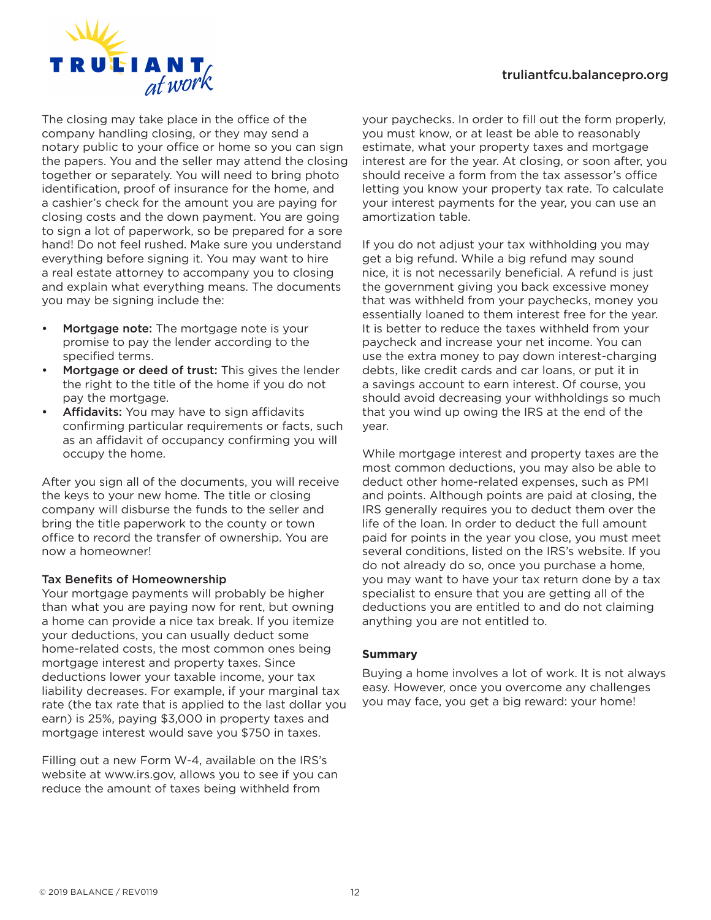

The closing may take place in the office of the company handling closing, or they may send a notary public to your office or home so you can sign the papers. You and the seller may attend the closing together or separately. You will need to bring photo identification, proof of insurance for the home, and a cashier's check for the amount you are paying for closing costs and the down payment. You are going to sign a lot of paperwork, so be prepared for a sore hand! Do not feel rushed. Make sure you understand everything before signing it. You may want to hire a real estate attorney to accompany you to closing and explain what everything means. The documents you may be signing include the:

- Mortgage note: The mortgage note is your promise to pay the lender according to the specified terms.
- Mortgage or deed of trust: This gives the lender the right to the title of the home if you do not pay the mortgage.
- Affidavits: You may have to sign affidavits confirming particular requirements or facts, such as an affidavit of occupancy confirming you will occupy the home.

After you sign all of the documents, you will receive the keys to your new home. The title or closing company will disburse the funds to the seller and bring the title paperwork to the county or town office to record the transfer of ownership. You are now a homeowner!

## Tax Benefits of Homeownership

Your mortgage payments will probably be higher than what you are paying now for rent, but owning a home can provide a nice tax break. If you itemize your deductions, you can usually deduct some home-related costs, the most common ones being mortgage interest and property taxes. Since deductions lower your taxable income, your tax liability decreases. For example, if your marginal tax rate (the tax rate that is applied to the last dollar you earn) is 25%, paying \$3,000 in property taxes and mortgage interest would save you \$750 in taxes.

Filling out a new Form W-4, available on the IRS's website at www.irs.gov, allows you to see if you can reduce the amount of taxes being withheld from

your paychecks. In order to fill out the form properly, you must know, or at least be able to reasonably estimate, what your property taxes and mortgage interest are for the year. At closing, or soon after, you should receive a form from the tax assessor's office letting you know your property tax rate. To calculate your interest payments for the year, you can use an amortization table.

If you do not adjust your tax withholding you may get a big refund. While a big refund may sound nice, it is not necessarily beneficial. A refund is just the government giving you back excessive money that was withheld from your paychecks, money you essentially loaned to them interest free for the year. It is better to reduce the taxes withheld from your paycheck and increase your net income. You can use the extra money to pay down interest-charging debts, like credit cards and car loans, or put it in a savings account to earn interest. Of course, you should avoid decreasing your withholdings so much that you wind up owing the IRS at the end of the year.

While mortgage interest and property taxes are the most common deductions, you may also be able to deduct other home-related expenses, such as PMI and points. Although points are paid at closing, the IRS generally requires you to deduct them over the life of the loan. In order to deduct the full amount paid for points in the year you close, you must meet several conditions, listed on the IRS's website. If you do not already do so, once you purchase a home, you may want to have your tax return done by a tax specialist to ensure that you are getting all of the deductions you are entitled to and do not claiming anything you are not entitled to.

## **Summary**

Buying a home involves a lot of work. It is not always easy. However, once you overcome any challenges you may face, you get a big reward: your home!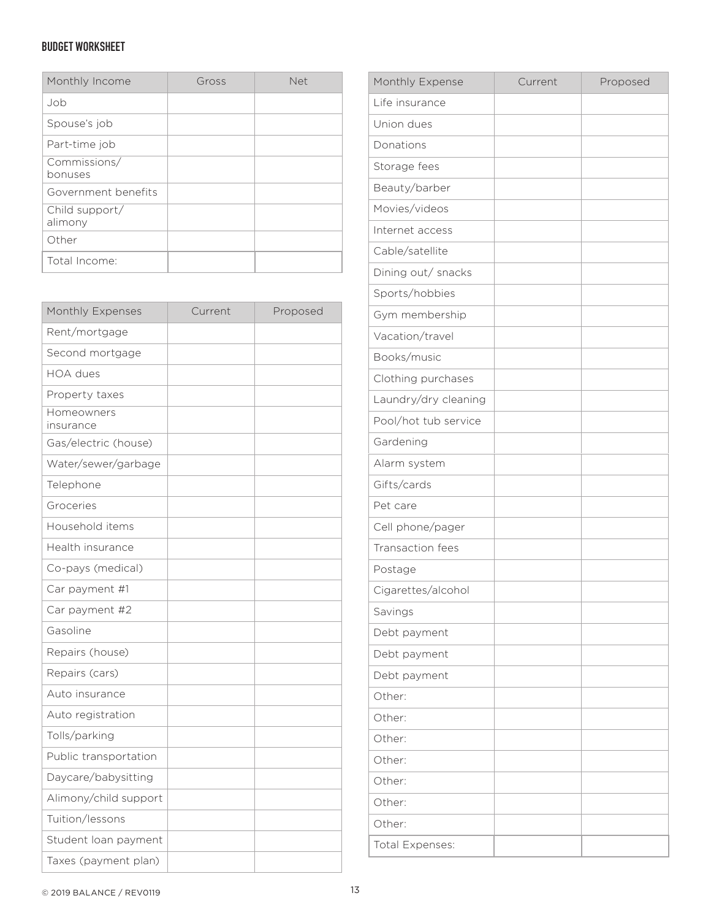# **BUDGET WORKSHEET**

| Monthly Income            | Gross | <b>Net</b> |
|---------------------------|-------|------------|
| Job                       |       |            |
| Spouse's job              |       |            |
| Part-time job             |       |            |
| Commissions/<br>bonuses   |       |            |
| Government benefits       |       |            |
| Child support/<br>alimony |       |            |
| Other                     |       |            |
| Total Income:             |       |            |

| Monthly Expenses        | Current | Proposed |
|-------------------------|---------|----------|
| Rent/mortgage           |         |          |
| Second mortgage         |         |          |
| <b>HOA</b> dues         |         |          |
| Property taxes          |         |          |
| Homeowners<br>insurance |         |          |
| Gas/electric (house)    |         |          |
| Water/sewer/garbage     |         |          |
| Telephone               |         |          |
| Groceries               |         |          |
| Household items         |         |          |
| Health insurance        |         |          |
| Co-pays (medical)       |         |          |
| Car payment #1          |         |          |
| Car payment #2          |         |          |
| Gasoline                |         |          |
| Repairs (house)         |         |          |
| Repairs (cars)          |         |          |
| Auto insurance          |         |          |
| Auto registration       |         |          |
| Tolls/parking           |         |          |
| Public transportation   |         |          |
| Daycare/babysitting     |         |          |
| Alimony/child support   |         |          |
| Tuition/lessons         |         |          |
| Student loan payment    |         |          |
| Taxes (payment plan)    |         |          |

| Monthly Expense      | Current | Proposed |
|----------------------|---------|----------|
| Life insurance       |         |          |
| Union dues           |         |          |
| Donations            |         |          |
| Storage fees         |         |          |
| Beauty/barber        |         |          |
| Movies/videos        |         |          |
| Internet access      |         |          |
| Cable/satellite      |         |          |
| Dining out/ snacks   |         |          |
| Sports/hobbies       |         |          |
| Gym membership       |         |          |
| Vacation/travel      |         |          |
| Books/music          |         |          |
| Clothing purchases   |         |          |
| Laundry/dry cleaning |         |          |
| Pool/hot tub service |         |          |
| Gardening            |         |          |
| Alarm system         |         |          |
| Gifts/cards          |         |          |
| Pet care             |         |          |
| Cell phone/pager     |         |          |
| Transaction fees     |         |          |
| Postage              |         |          |
| Cigarettes/alcohol   |         |          |
| Savings              |         |          |
| Debt payment         |         |          |
| Debt payment         |         |          |
| Debt payment         |         |          |
| Other:               |         |          |
| Other:               |         |          |
| Other:               |         |          |
| Other:               |         |          |
| Other:               |         |          |
| Other:               |         |          |
| Other:               |         |          |
| Total Expenses:      |         |          |

© 2019 BALANCE / REV0119 13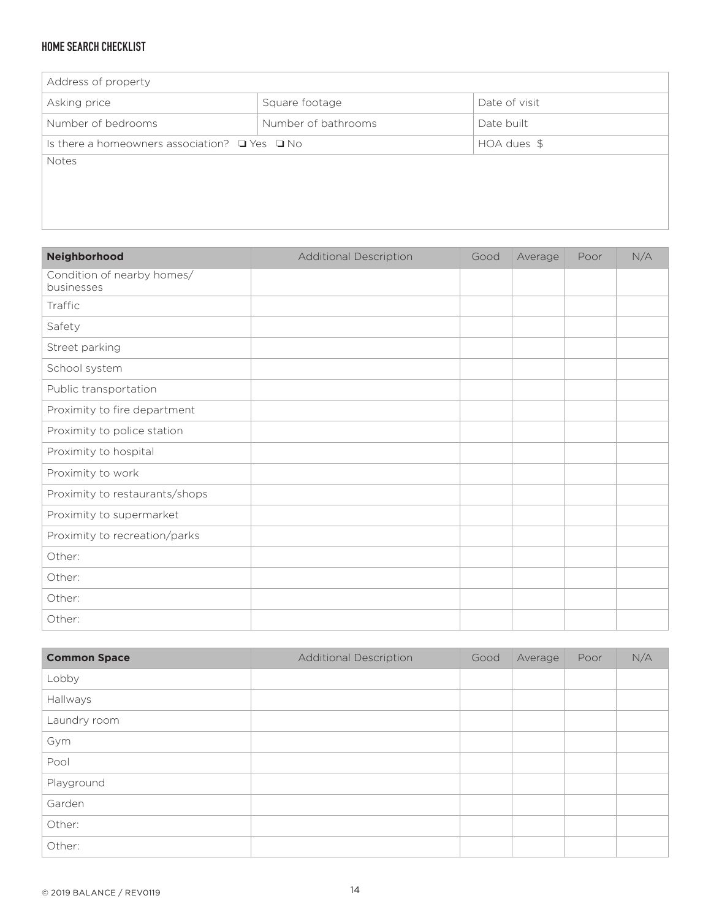# **HOME SEARCH CHECKLIST**

| Address of property                                     |               |  |  |  |
|---------------------------------------------------------|---------------|--|--|--|
| Square footage                                          | Date of visit |  |  |  |
| Number of bathrooms                                     | Date built    |  |  |  |
| Is there a homeowners association? $\Box$ Yes $\Box$ No |               |  |  |  |
|                                                         |               |  |  |  |
|                                                         |               |  |  |  |
|                                                         |               |  |  |  |

| Neighborhood                             | <b>Additional Description</b> | Good | Average | Poor | N/A |
|------------------------------------------|-------------------------------|------|---------|------|-----|
| Condition of nearby homes/<br>businesses |                               |      |         |      |     |
| Traffic                                  |                               |      |         |      |     |
| Safety                                   |                               |      |         |      |     |
| Street parking                           |                               |      |         |      |     |
| School system                            |                               |      |         |      |     |
| Public transportation                    |                               |      |         |      |     |
| Proximity to fire department             |                               |      |         |      |     |
| Proximity to police station              |                               |      |         |      |     |
| Proximity to hospital                    |                               |      |         |      |     |
| Proximity to work                        |                               |      |         |      |     |
| Proximity to restaurants/shops           |                               |      |         |      |     |
| Proximity to supermarket                 |                               |      |         |      |     |
| Proximity to recreation/parks            |                               |      |         |      |     |
| Other:                                   |                               |      |         |      |     |
| Other:                                   |                               |      |         |      |     |
| Other:                                   |                               |      |         |      |     |
| Other:                                   |                               |      |         |      |     |

| <b>Common Space</b> | <b>Additional Description</b> | Good | Average | Poor | N/A |
|---------------------|-------------------------------|------|---------|------|-----|
| Lobby               |                               |      |         |      |     |
| Hallways            |                               |      |         |      |     |
| Laundry room        |                               |      |         |      |     |
| Gym                 |                               |      |         |      |     |
| Pool                |                               |      |         |      |     |
| Playground          |                               |      |         |      |     |
| Garden              |                               |      |         |      |     |
| Other:              |                               |      |         |      |     |
| Other:              |                               |      |         |      |     |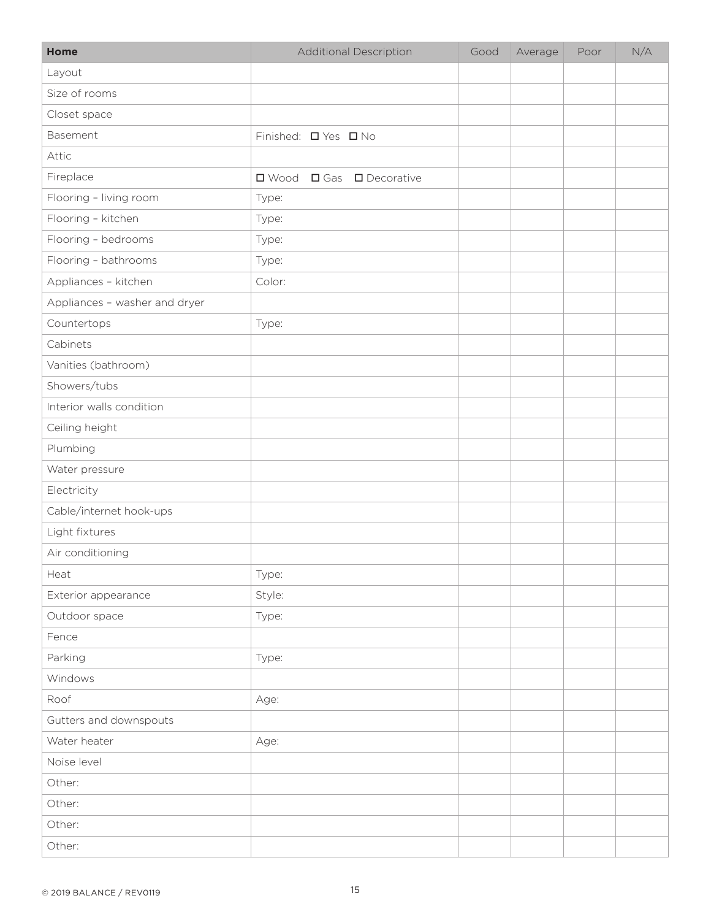| Home                          | <b>Additional Description</b>      | Good | Average | Poor | N/A |
|-------------------------------|------------------------------------|------|---------|------|-----|
| Layout                        |                                    |      |         |      |     |
| Size of rooms                 |                                    |      |         |      |     |
| Closet space                  |                                    |      |         |      |     |
| Basement                      | Finished: <b>O</b> Yes <b>O</b> No |      |         |      |     |
| Attic                         |                                    |      |         |      |     |
| Fireplace                     | □ Wood □ Gas □ Decorative          |      |         |      |     |
| Flooring - living room        | Type:                              |      |         |      |     |
| Flooring - kitchen            | Type:                              |      |         |      |     |
| Flooring - bedrooms           | Type:                              |      |         |      |     |
| Flooring - bathrooms          | Type:                              |      |         |      |     |
| Appliances - kitchen          | Color:                             |      |         |      |     |
| Appliances - washer and dryer |                                    |      |         |      |     |
| Countertops                   | Type:                              |      |         |      |     |
| Cabinets                      |                                    |      |         |      |     |
| Vanities (bathroom)           |                                    |      |         |      |     |
| Showers/tubs                  |                                    |      |         |      |     |
| Interior walls condition      |                                    |      |         |      |     |
| Ceiling height                |                                    |      |         |      |     |
| Plumbing                      |                                    |      |         |      |     |
| Water pressure                |                                    |      |         |      |     |
| Electricity                   |                                    |      |         |      |     |
| Cable/internet hook-ups       |                                    |      |         |      |     |
| Light fixtures                |                                    |      |         |      |     |
| Air conditioning              |                                    |      |         |      |     |
| Heat                          | Type:                              |      |         |      |     |
| Exterior appearance           | Style:                             |      |         |      |     |
| Outdoor space                 | Type:                              |      |         |      |     |
| Fence                         |                                    |      |         |      |     |
| Parking                       | Type:                              |      |         |      |     |
| Windows                       |                                    |      |         |      |     |
| Roof                          | Age:                               |      |         |      |     |
| Gutters and downspouts        |                                    |      |         |      |     |
| Water heater                  | Age:                               |      |         |      |     |
| Noise level                   |                                    |      |         |      |     |
| Other:                        |                                    |      |         |      |     |
| Other:                        |                                    |      |         |      |     |
| Other:                        |                                    |      |         |      |     |
| Other:                        |                                    |      |         |      |     |